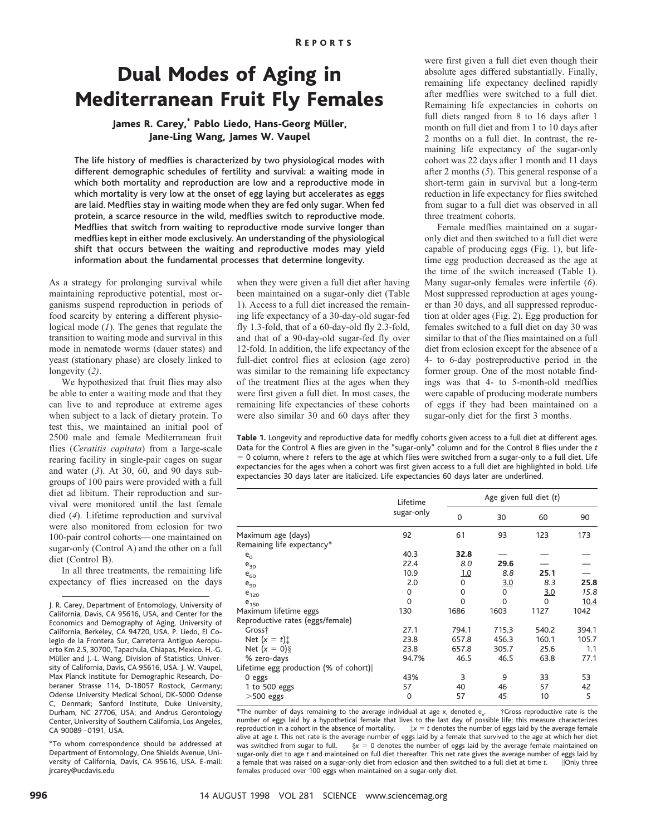## Dual Modes of Aging in Mediterranean Fruit Fly Females

## James R. Carey,\* Pablo Liedo, Hans-Georg Müller, Jane-Ling Wang, James W. Vaupel

The life history of medflies is characterized by two physiological modes with different demographic schedules of fertility and survival: a waiting mode in which both mortality and reproduction are low and a reproductive mode in which mortality is very low at the onset of egg laying but accelerates as eggs are laid. Medflies stay in waiting mode when they are fed only sugar. When fed protein, a scarce resource in the wild, medflies switch to reproductive mode. Medflies that switch from waiting to reproductive mode survive longer than medflies kept in either mode exclusively. An understanding of the physiological shift that occurs between the waiting and reproductive modes may yield information about the fundamental processes that determine longevity.

As a strategy for prolonging survival while maintaining reproductive potential, most organisms suspend reproduction in periods of food scarcity by entering a different physiological mode (*1*). The genes that regulate the transition to waiting mode and survival in this mode in nematode worms (dauer states) and yeast (stationary phase) are closely linked to longevity (*2)*.

We hypothesized that fruit flies may also be able to enter a waiting mode and that they can live to and reproduce at extreme ages when subject to a lack of dietary protein. To test this, we maintained an initial pool of 2500 male and female Mediterranean fruit flies (*Ceratitis capitata*) from a large-scale rearing facility in single-pair cages on sugar and water (*3*). At 30, 60, and 90 days subgroups of 100 pairs were provided with a full diet ad libitum. Their reproduction and survival were monitored until the last female died (*4*). Lifetime reproduction and survival were also monitored from eclosion for two 100-pair control cohorts—one maintained on sugar-only (Control A) and the other on a full diet (Control B).

In all three treatments, the remaining life expectancy of flies increased on the days

J. R. Carey, Department of Entomology, University of California, Davis, CA 95616, USA, and Center for the Economics and Demography of Aging, University of California, Berkeley, CA 94720, USA. P. Liedo, El Colegio de la Frontera Sur, Carreterra Antiguo Aeropuerto Km 2.5, 30700, Tapachula, Chiapas, Mexico. H.-G. Müller and J.-L. Wang, Division of Statistics, University of California, Davis, CA 95616, USA. J. W. Vaupel, Max Planck Institute for Demographic Research, Doberaner Strasse 114, D-18057 Rostock, Germany; Odense University Medical School, DK-5000 Odense C, Denmark; Sanford Institute, Duke University, Durham, NC 27706, USA; and Andrus Gerontology Center, University of Southern California, Los Angeles, CA 90089–0191, USA.

\*To whom correspondence should be addressed at Department of Entomology, One Shields Avenue, University of California, Davis, CA 95616, USA. E-mail: jrcarey@ucdavis.edu

when they were given a full diet after having been maintained on a sugar-only diet (Table 1). Access to a full diet increased the remaining life expectancy of a 30-day-old sugar-fed fly 1.3-fold, that of a 60-day-old fly 2.3-fold, and that of a 90-day-old sugar-fed fly over 12-fold. In addition, the life expectancy of the full-diet control flies at eclosion (age zero) was similar to the remaining life expectancy of the treatment flies at the ages when they were first given a full diet. In most cases, the remaining life expectancies of these cohorts were also similar 30 and 60 days after they were first given a full diet even though their absolute ages differed substantially. Finally, remaining life expectancy declined rapidly after medflies were switched to a full diet. Remaining life expectancies in cohorts on full diets ranged from 8 to 16 days after 1 month on full diet and from 1 to 10 days after 2 months on a full diet. In contrast, the remaining life expectancy of the sugar-only cohort was 22 days after 1 month and 11 days after 2 months (*5*). This general response of a short-term gain in survival but a long-term reduction in life expectancy for flies switched from sugar to a full diet was observed in all three treatment cohorts.

Female medflies maintained on a sugaronly diet and then switched to a full diet were capable of producing eggs (Fig. 1), but lifetime egg production decreased as the age at the time of the switch increased (Table 1). Many sugar-only females were infertile (*6*). Most suppressed reproduction at ages younger than 30 days, and all suppressed reproduction at older ages (Fig. 2). Egg production for females switched to a full diet on day 30 was similar to that of the flies maintained on a full diet from eclosion except for the absence of a 4- to 6-day postreproductive period in the former group. One of the most notable findings was that 4- to 5-month-old medflies were capable of producing moderate numbers of eggs if they had been maintained on a sugar-only diet for the first 3 months.

**Table 1.** Longevity and reproductive data for medfly cohorts given access to a full diet at different ages. Data for the Control A flies are given in the "sugar-only" column and for the Control B flies under the *t* 5 0 column, where *t* refers to the age at which flies were switched from a sugar-only to a full diet. Life expectancies for the ages when a cohort was first given access to a full diet are highlighted in bold. Life expectancies 30 days later are italicized. Life expectancies 60 days later are underlined.

|                                       | Lifetime<br>sugar-only | Age given full diet $(t)$ |          |          |       |
|---------------------------------------|------------------------|---------------------------|----------|----------|-------|
|                                       |                        | $\mathbf 0$               | 30       | 60       | 90    |
| Maximum age (days)                    | 92                     | 61                        | 93       | 123      | 173   |
| Remaining life expectancy*            |                        |                           |          |          |       |
| $e_0$                                 | 40.3                   | 32.8                      |          |          |       |
| $e_{30}$                              | 22.4                   | 8.0                       | 29.6     |          |       |
| $e_{60}$                              | 10.9                   | <u>1.0</u>                | 8.8      | 25.1     |       |
| $e_{90}$                              | 2.0                    | $\Omega$                  | 3.0      | 8.3      | 25.8  |
| $e_{120}$                             | 0                      | 0                         | 0        | 3.0      | 15.8  |
| $e_{150}$                             | 0                      | $\Omega$                  | $\Omega$ | $\Omega$ | 10.4  |
| Maximum lifetime eggs                 | 130                    | 1686                      | 1603     | 1127     | 1042  |
| Reproductive rates (eggs/female)      |                        |                           |          |          |       |
| Gross†                                | 27.1                   | 794.1                     | 715.3    | 540.2    | 394.1 |
| Net $(x = t)$ :                       | 23.8                   | 657.8                     | 456.3    | 160.1    | 105.7 |
| Net $(x = 0)$                         | 23.8                   | 657.8                     | 305.7    | 25.6     | 1.1   |
| % zero-days                           | 94.7%                  | 46.5                      | 46.5     | 63.8     | 77.1  |
| Lifetime egg production (% of cohort) |                        |                           |          |          |       |
| 0 eggs                                | 43%                    | 3                         | 9        | 33       | 53    |
| 1 to 500 eggs                         | 57                     | 40                        | 46       | 57       | 42    |
| $>$ 500 eggs                          | 0                      | 57                        | 45       | 10       | 5     |

 $*$ The number of days remaining to the average individual at age *x*, denoted  $e_{x}$ . . †Gross reproductive rate is the number of eggs laid by a hypothetical female that lives to the last day of possible life; this measure characterizes<br>reproduction in a cohort in the absence of mortality.<br> $\frac{1}{x}x = t$  denotes the number of eggs laid by th  $\ddagger x = t$  denotes the number of eggs laid by the average female alive at age *t*. This net rate is the average number of eggs laid by a female that survived to the age at which her diet was switched from sugar to full.  $§ x = 0$  denotes the number of eggs laid by the average female maintained on sugar-only diet to age *t* and maintained on full diet thereafter. This net rate gives the average number of eggs laid by a female that was raised on a sugar-only diet from eclosion and then switched to a full diet at time *t*. | ||Only three females produced over 100 eggs when maintained on a sugar-only diet.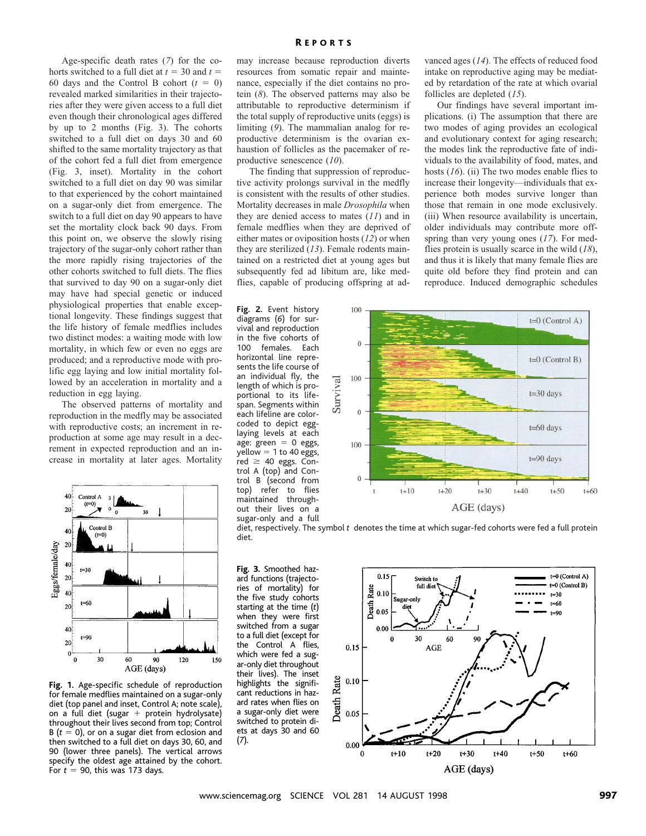Age-specific death rates (*7*) for the cohorts switched to a full diet at  $t = 30$  and  $t =$ 60 days and the Control B cohort  $(t = 0)$ revealed marked similarities in their trajectories after they were given access to a full diet even though their chronological ages differed by up to 2 months (Fig. 3). The cohorts switched to a full diet on days 30 and 60 shifted to the same mortality trajectory as that of the cohort fed a full diet from emergence (Fig. 3, inset). Mortality in the cohort switched to a full diet on day 90 was similar to that experienced by the cohort maintained on a sugar-only diet from emergence. The switch to a full diet on day 90 appears to have set the mortality clock back 90 days. From this point on, we observe the slowly rising trajectory of the sugar-only cohort rather than the more rapidly rising trajectories of the other cohorts switched to full diets. The flies that survived to day 90 on a sugar-only diet may have had special genetic or induced physiological properties that enable exceptional longevity. These findings suggest that the life history of female medflies includes two distinct modes: a waiting mode with low mortality, in which few or even no eggs are produced; and a reproductive mode with prolific egg laying and low initial mortality followed by an acceleration in mortality and a reduction in egg laying.

The observed patterns of mortality and reproduction in the medfly may be associated with reproductive costs; an increment in reproduction at some age may result in a decrement in expected reproduction and an increase in mortality at later ages. Mortality



**Fig. 1.** Age-specific schedule of reproduction for female medflies maintained on a sugar-only diet (top panel and inset, Control A; note scale), on a full diet (sugar + protein hydrolysate) throughout their lives second from top; Control  $B(t = 0)$ , or on a sugar diet from eclosion and then switched to a full diet on days 30, 60, and 90 (lower three panels). The vertical arrows specify the oldest age attained by the cohort. For  $t = 90$ , this was 173 days.

may increase because reproduction diverts resources from somatic repair and maintenance, especially if the diet contains no protein (*8*). The observed patterns may also be attributable to reproductive determinism if the total supply of reproductive units (eggs) is limiting (*9*). The mammalian analog for reproductive determinism is the ovarian exhaustion of follicles as the pacemaker of reproductive senescence (*10*).

The finding that suppression of reproductive activity prolongs survival in the medfly is consistent with the results of other studies. Mortality decreases in male *Drosophila* when they are denied access to mates (*11*) and in female medflies when they are deprived of either mates or oviposition hosts (*12*) or when they are sterilized (*13*). Female rodents maintained on a restricted diet at young ages but subsequently fed ad libitum are, like medflies, capable of producing offspring at ad-

**Fig. 2.** Event history diagrams (*6*) for survival and reproduction in the five cohorts of 100 females. Each horizontal line represents the life course of an individual fly, the length of which is proportional to its lifespan. Segments within each lifeline are colorcoded to depict egglaying levels at each age: green  $= 0$  eggs,  $y$ ellow = 1 to 40 eggs, red  $\geq$  40 eggs. Control A (top) and Control B (second from top) refer to flies maintained throughout their lives on a sugar-only and a full

vanced ages (*14*). The effects of reduced food intake on reproductive aging may be mediated by retardation of the rate at which ovarial follicles are depleted (*15*).

Our findings have several important implications. (i) The assumption that there are two modes of aging provides an ecological and evolutionary context for aging research; the modes link the reproductive fate of individuals to the availability of food, mates, and hosts (*16*). (ii) The two modes enable flies to increase their longevity—individuals that experience both modes survive longer than those that remain in one mode exclusively. (iii) When resource availability is uncertain, older individuals may contribute more offspring than very young ones (*17*). For medflies protein is usually scarce in the wild (*18*), and thus it is likely that many female flies are quite old before they find protein and can reproduce. Induced demographic schedules



diet, respectively. The symbol *t* denotes the time at which sugar-fed cohorts were fed a full protein diet.

**Fig. 3.** Smoothed hazard functions (trajectories of mortality) for the five study cohorts starting at the time (*t*) when they were first switched from a sugar to a full diet (except for the Control A flies, which were fed a sugar-only diet throughout their lives). The inset highlights the significant reductions in hazard rates when flies on a sugar-only diet were switched to protein diets at days 30 and 60 (*7*).